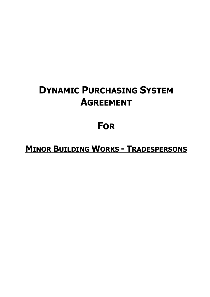# **DYNAMIC PURCHASING SYSTEM AGREEMENT**

# **FOR**

# **MINOR BUILDING WORKS - TRADESPERSONS**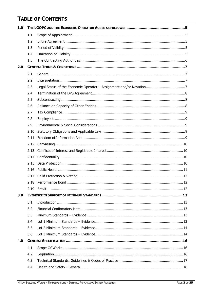# **TABLE OF CONTENTS**

| 1.0 |      |  |  |
|-----|------|--|--|
|     | 1.1  |  |  |
|     | 1.2  |  |  |
|     | 1.3  |  |  |
|     | 1.4  |  |  |
|     | 1.5  |  |  |
| 2.0 |      |  |  |
|     | 2.1  |  |  |
|     | 2.2  |  |  |
|     | 2.3  |  |  |
|     | 2.4  |  |  |
|     | 2.5  |  |  |
|     | 2.6  |  |  |
|     | 2.7  |  |  |
|     | 2.8  |  |  |
|     | 2.9  |  |  |
|     | 2.10 |  |  |
|     | 2.11 |  |  |
|     | 2.12 |  |  |
|     | 2.13 |  |  |
|     | 2.14 |  |  |
|     | 2.15 |  |  |
|     | 2.16 |  |  |
|     | 2.17 |  |  |
|     |      |  |  |
|     |      |  |  |
| 3.0 |      |  |  |
|     | 3.1  |  |  |
|     | 3.2  |  |  |
|     | 3.3  |  |  |
|     | 3.4  |  |  |
|     | 3.5  |  |  |
|     | 3.6  |  |  |
| 4.0 |      |  |  |
|     | 4.1  |  |  |
|     | 4.2  |  |  |
|     | 4.3  |  |  |
|     | 4.4  |  |  |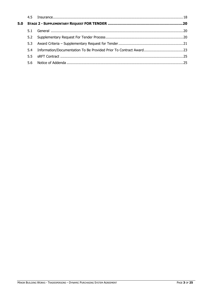|     | 4.5 |  |  |
|-----|-----|--|--|
| 5.0 |     |  |  |
|     | 5.1 |  |  |
|     | 5.2 |  |  |
|     | 5.3 |  |  |
|     | 5.4 |  |  |
|     | 5.5 |  |  |
|     | 5.6 |  |  |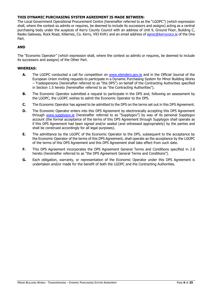# **THIS DYNAMIC PURCHASING SYSTEM AGREEMENT IS MADE BETWEEN:**

The Local Government Operational Procurement Centre (hereinafter referred to as the "LGOPC") (which expression shall, where the context so admits or requires, be deemed to include its successors and assigns) acting as a central purchasing body under the auspices of Kerry County Council with an address of Unit 9, Ground Floor, Building C, Reeks Gateway, Rock Road, Killarney, Co. Kerry, V93 KVK1 and an email address of [eproc@kerrycoco.ie](mailto:eproc@kerrycoco.ie) of the One Part.

# **AND**

The "Economic Operator" (which expression shall, where the context so admits or requires, be deemed to include its successors and assigns) of the Other Part.

# **WHEREAS:**

- **A.** The LGOPC conducted a call for competition on [www.etenders.gov.ie](http://www.etenders.gov.ie/) and in the Official Journal of the European Union inviting requests to participate in a Dynamic Purchasing System for Minor Building Works – Tradespersons (hereinafter referred to as "the DPS") on behalf of the Contracting Authorities specified in Section 1.5 hereto (hereinafter referred to as "the Contracting Authorities").
- **B.** The Economic Operator submitted a request to participate in the DPS and, following an assessment by the LGOPC, the LGOPC wishes to admit the Economic Operator to the DPS.
- **C.** The Economic Operator has agreed to be admitted to the DPS on the terms set out in this DPS Agreement.
- **D.** The Economic Operator enters into this DPS Agreement by electronically accepting this DPS Agreement through [www.supplygov.ie](http://www.supplygov.ie/) (hereinafter referred to as "Supplygov") by way of its personal Supplygov account (the formal acceptance of the terms of this DPS Agreement through Supplygov shall operate as if this DPS Agreement had been signed and/or sealed (and witnessed appropriately) by the parties and shall be construed accordingly for all legal purposes).
- **E.** The admittance by the LGOPC of the Economic Operator to the DPS, subsequent to the acceptance by the Economic Operator of the terms of this DPS Agreement, shall operate as the acceptance by the LGOPC of the terms of this DPS Agreement and this DPS Agreement shall take effect from such date.
- **F.** This DPS Agreement incorporates the DPS Agreement General Terms and Conditions specified in 2.0 hereto (hereinafter referred to as "the DPS Agreement General Terms and Conditions").
- **G.** Each obligation, warranty, or representation of the Economic Operator under this DPS Agreement is undertaken and/or made for the benefit of both the LGOPC and the Contracting Authorities.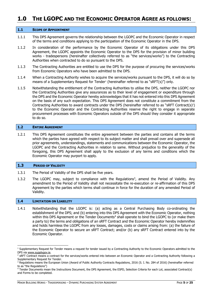# <span id="page-4-0"></span>**1.0 THE LGOPC AND THE ECONOMIC OPERATOR AGREE AS FOLLOWS:**

#### <span id="page-4-1"></span>**1.1 SCOPE OF APPOINTMENT**

- 1.1.1 This DPS Agreement governs the relationship between the LGOPC and the Economic Operator in respect of the terms and conditions applying to the participation of the Economic Operator in the DPS.
- 1.1.2 In consideration of the performance by the Economic Operator of its obligations under this DPS Agreement, the LGOPC appoints the Economic Operator to the DPS for the provision of minor building works - tradespersons (hereinafter collectively referred to as "the services/works") to the Contracting Authorities when contracted to do so pursuant to the DPS.
- 1.1.3 The Contracting Authorities are entitled to use the DPS for the purpose of procuring the services/works from Economic Operators who have been admitted to the DPS.
- 1.1.4 When a Contracting Authority wishes to acquire the services/works pursuant to the DPS, it will do so by means of a Supplementary Request for Tender<sup>1</sup> (hereinafter referred to as "sRFT(s)") only.
- 1.1.5 Notwithstanding the entitlement of the Contracting Authorities to utilise the DPS, neither the LGOPC nor the Contracting Authorities give any assurances as to their level of engagement or expenditure through the DPS and the Economic Operator hereby acknowledges that it has not entered into this DPS Agreement on the basis of any such expectation. This DPS Agreement does not constitute a commitment from the Contracting Authorities to award contracts under the DPS (hereinafter referred to as "sRFT Contract(s)?) to the Economic Operator and the Contracting Authorities reserve the right to engage in separate procurement processes with Economic Operators outside of the DPS should they consider it appropriate to do so.

#### <span id="page-4-2"></span>**1.2 ENTIRE AGREEMENT**

1.2.1 This DPS Agreement constitutes the entire agreement between the parties and contains all the terms which the parties have agreed with respect to its subject matter and shall prevail over and supersede all prior agreements, understandings, statements and communications between the Economic Operator, the LGOPC and the Contracting Authorities in relation to same. Without prejudice to the generality of the foregoing, this DPS Agreement shall apply to the exclusion of any terms and conditions which the Economic Operator may purport to apply.

#### <span id="page-4-3"></span>**1.3 PERIOD OF VALIDITY**

- 1.3.1 The Period of Validity of the DPS shall be five years.
- 1.3.2 The LGOPC may, subject to compliance with the Regulations<sup>3</sup>, amend the Period of Validity. Any amendment to the Period of Validity shall not necessitate the re-execution or re-affirmation of this DPS Agreement by the parties which terms shall continue in force for the duration of any amended Period of Validity.

#### <span id="page-4-4"></span>**1.4 LIMITATION ON LIABILITY**

1.4.1 Notwithstanding that the LGOPC is: (a) acting as a Central Purchasing Body co-ordinating the establishment of the DPS; and (b) entering into this DPS Agreement with the Economic Operator, nothing within this DPS Agreement or the Tender Documents<sup>4</sup> shall operate to bind the LGOPC to (or make them a party to) the terms and obligations of an sRFT Contract and the Economic Operator hereby indemnifies and holds harmless the LGOPC from any losses, damages, costs or claims arising from: (a) the failure of the Economic Operator to secure an sRFT Contract; and/or (b) any sRFT Contract entered into by the Economic Operator.

<sup>&</sup>lt;sup>1</sup> Supplementary Request for Tender means a request for tender issued by a Contracting Authority to the Economic Operators admitted to the DPS via [www.supplygov.ie.](http://www.supplygov.ie/)

<sup>&</sup>lt;sup>2</sup> SRFT Contract means a contract for the services/works entered into between an Economic Operator and a Contracting Authority following a Supplementary Request for Tender.

<sup>&</sup>lt;sup>3</sup> Regulations means the European Union (Award of Public Authority Contracts Regulations, 2016 (S. I. No. 284 of 2016) (hereinafter referred to as "the Regulations")

<sup>4</sup> Tender Documents mean the Instructions Document, the DPS Agreement, the ESPD, Selection Criteria for each Lot, associated Contract(s) and Forms to be completed.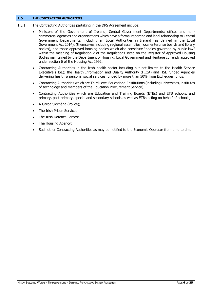# <span id="page-5-0"></span>**1.5 THE CONTRACTING AUTHORITIES**

- 1.5.1 The Contracting Authorities partaking in the DPS Agreement include:
	- Ministers of the Government of Ireland; Central Government Departments; offices and noncommercial agencies and organisations which have a formal reporting and legal relationship to Central Government Departments, including all Local Authorities in Ireland (as defined in the Local Government Act 2014), (themselves including regional assemblies, local enterprise boards and library bodies), and those approved housing bodies which also constitute "bodies governed by public law" within the meaning of Regulation 2 of the Regulations listed on the Register of Approved Housing Bodies maintained by the Department of Housing, Local Government and Heritage currently approved under section 6 of the Housing Act 1992;
	- Contracting Authorities in the Irish health sector including but not limited to the Health Service Executive (HSE); the Health Information and Quality Authority (HIQA) and HSE funded Agencies delivering health & personal social services funded by more than 50% from Exchequer funds;
	- Contracting Authorities which are Third Level Educational Institutions (including universities, institutes of technology and members of the Education Procurement Service);
	- Contracting Authorities which are Education and Training Boards (ETBs) and ETB schools, and primary, post-primary, special and secondary schools as well as ETBs acting on behalf of schools;
	- A Garda Síochána (Police);
	- The Irish Prison Service;
	- The Irish Defence Forces;
	- The Housing Agency;
	- Such other Contracting Authorities as may be notified to the Economic Operator from time to time.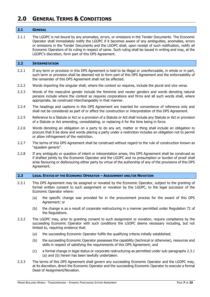# <span id="page-6-0"></span>**2.0 GENERAL TERMS & CONDITIONS**

#### <span id="page-6-1"></span>**2.1 GENERAL**

2.1.1 The LGOPC is not bound by any anomalies, errors, or omissions in the Tender Documents. The Economic Operator shall immediately notify the LGOPC if it becomes aware of any ambiguities, anomalies, errors or omissions in the Tender Documents and the LGOPC shall, upon receipt of such notification, notify all Economic Operators of its ruling in respect of same. Such ruling shall be issued in writing and may, at the LGOPC's discretion, form part of this DPS Agreement.

#### <span id="page-6-2"></span>**2.2 INTERPRETATION**

- 2.2.1 If any term or provision in this DPS Agreement is held to be illegal or unenforceable, in whole or in part, such term or provision shall be deemed not to form part of this DPS Agreement and the enforceability of the remainder of this DPS Agreement shall not be affected.
- 2.2.2 Words importing the singular shall, where the context so requires, include the plural and vice versa.
- 2.2.3 Words of the masculine gender include the feminine and neuter genders and words denoting natural persons include where the context so requires corporations and firms and all such words shall, where appropriate, be construed interchangeably in that manner.
- 2.2.4 The headings and captions in this DPS Agreement are inserted for convenience of reference only and shall not be considered as part of or affect the construction or interpretation of this DPS Agreement.
- 2.2.5 Reference to a Statute or Act or a provision of a Statute or Act shall include any Statute or Act or provision of a Statute or Act amending, consolidating, or replacing it for the time being in force.
- 2.2.6 Words denoting an obligation on a party to do any act, matter or thing shall include an obligation to procure that it be done and words placing a party under a restriction includes an obligation not to permit or allow infringement of the restriction.
- 2.2.7 The terms of this DPS Agreement shall be construed without regard to the rule of construction known as "ejusdem generis".
- 2.2.8 If any ambiguity or question of intent or interpretation arises, this DPS Agreement shall be construed as if drafted jointly by the Economic Operator and the LGOPC and no presumption or burden of proof shall arise favouring or disfavouring either party by virtue of the authorship of any of the provisions of this DPS Agreement.

# <span id="page-6-3"></span>**2.3 LEGAL STATUS OF THE ECONOMIC OPERATOR – ASSIGNMENT AND/OR NOVATION**

- 2.3.1 This DPS Agreement may be assigned or novated by the Economic Operator, subject to the granting of formal written consent to such assignment or novation by the LGOPC, to the legal successor of the Economic Operator where:
	- (a) the specific change was provided for in the procurement process for the award of this DPS Agreement; or
	- (b) the change is as a result of corporate restructuring in a manner permitted under Regulation 72 of the Regulations.
- 2.3.2 The LGOPC may, prior to granting consent to such assignment or novation, require compliance by the succeeding Economic Operator with such conditions the LGOPC deems necessary including, but not limited to, requiring evidence that:
	- (a) the succeeding Economic Operator fulfils the qualifying criteria initially established;
	- (b) the succeeding Economic Operator possesses the capability (technical or otherwise), resources and skills in respect of satisfying the requirements of this DPS Agreement; and
	- (c) a formal change in legal status or corporate restructuring as permitted under sub-paragraphs 2.3.1 (a) and (b) herein has been lawfully undertaken.
- 2.3.3 The terms of this DPS Agreement shall govern any succeeding Economic Operator and the LGOPC may, at its discretion, direct the Economic Operator and the succeeding Economic Operator to execute a formal Deed of Assignment/Novation.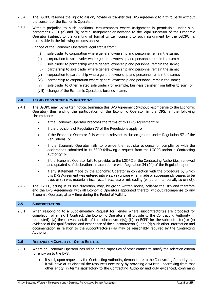- 2.3.4 The LGOPC reserves the right to assign, novate or transfer this DPS Agreement to a third party without the consent of the Economic Operator.
- 2.3.5 Without prejudice to such additional circumstances where assignment is permissible under subparagraphs 2.3.1 (a) and (b) herein, assignment or novation to the legal successor of the Economic Operator (subject to the granting of formal written consent to such assignment by the LGOPC) is permissible in the following circumstances:

Change of the Economic Operator's legal status from:

- (i) sole trader to corporation where general ownership and personnel remain the same;
- (ii) corporation to sole trader where general ownership and personnel remain the same;
- (iii) sole trader to partnership where general ownership and personnel remain the same;
- (iv) partnership to sole trader where general ownership and personnel remain the same;
- (v) corporation to partnership where general ownership and personnel remain the same;
- (vi) partnership to corporation where general ownership and personnel remain the same;
- (vii) sole trader to other related sole trader (for example, business transfer from father to son); or
- (viii) change of the Economic Operator's business name.

#### <span id="page-7-0"></span>**2.4 TERMINATION OF THE DPS AGREEMENT**

- 2.4.1 The LGOPC may, by written notice, terminate this DPS Agreement (without recompense to the Economic Operator) thus ending the participation of the Economic Operator in the DPS, in the following circumstances:
	- if the Economic Operator breaches the terms of this DPS Agreement; or
	- if the provisions of Regulation 73 of the Regulations apply; or
	- if the Economic Operator falls within a relevant exclusion ground under Regulation 57 of the Regulations; or
	- if the Economic Operator fails to provide the requisite evidence of compliance with the declarations submitted in its ESPD following a request from the LGOPC and/or a Contracting Authority; or
	- if the Economic Operator fails to provide, to the LGOPC or the Contracting Authorities, renewed and updated self-declarations in accordance with Regulation 34 (24) of the Regulations; or
	- if any statement made by the Economic Operator in connection with the procedure by which this DPS Agreement was entered into was: (a) untrue when made or subsequently ceases to be true; or (b) was materially incorrect, inaccurate or misleading (whether intentionally so or not).
- 2.4.2 The LGOPC, acting in its sole discretion, may, by giving written notice, collapse the DPS and therefore end the DPS Agreements with all Economic Operators appointed thereto, without recompense to any Economic Operator, at any time during the Period of Validity.

# <span id="page-7-1"></span>**2.5 SUBCONTRACTING**

2.5.1 When responding to a Supplementary Request for Tender where subcontractor(s) are proposed for completion of an sRFT Contract, the Economic Operator shall provide to the Contracting Authority (if requested): (a) the relevant details of the subcontractor(s); (b) an ESPD for the subcontractor(s); (c) evidence of the qualifications and experience of the subcontractor(s); and (d) such other information and documentation in relation to the subcontractor(s) as may be reasonably required by the Contracting Authority.

# <span id="page-7-2"></span>**2.6 RELIANCE ON CAPACITY OF OTHER ENTITIES**

- 2.6.1 Where an Economic Operator has relied on the capacities of other entities to satisfy the selection criteria for entry on to the DPS:
	- it shall, upon request by the Contracting Authority, demonstrate to the Contracting Authority that it will have at its disposal the resources necessary by providing a written undertaking from that other entity, in terms satisfactory to the Contracting Authority and duly evidenced, confirming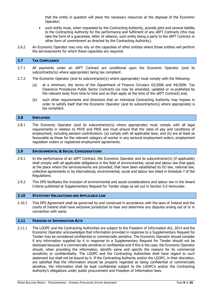that the entity in question will place the necessary resources at the disposal of the Economic Operator;

- such entity must, when requested by the Contracting Authority, provide joint and several liability to the Contracting Authority for the performance and fulfilment of any sRFT Contracts (this may take the form of a guarantee, letter of reliance, such entity being a party to the sRFT Contract or other form of commitment as directed by the Contracting Authority).
- 2.6.2 An Economic Operator may only rely on the capacities of other entities where those entities will perform the services/works for which these capacities are required.

#### <span id="page-8-0"></span>**2.7 TAX COMPLIANCE**

- 2.7.1 All payments under an sRFT Contract are conditional upon the Economic Operator (and its subcontractor(s) where appropriate) being tax compliant.
- 2.7.2 The Economic Operator (and its subcontractor(s) where appropriate) must comply with the following:
	- (a) at a minimum, the terms of the Department of Finance Circulars 43/2006 and 44/2006: Tax Clearance Procedures Public Sector Contracts (as may be amended, updated or re-published by the relevant body from time to time and as then apply at the time of the sRFT Contract) and;
	- (b) such other requirements and directions that an individual Contracting Authority may impose in order to satisfy itself that the Economic Operator (and its subcontractor(s) where appropriate) is tax compliant.

#### <span id="page-8-1"></span>**2.8 EMPLOYEES**

2.8.1 The Economic Operator (and its subcontractor(s) where appropriate) must comply with all legal requirements in relation to PAYE and PRSI and must ensure that the rates of pay and conditions of employment, including pension contributions: (a) comply with all applicable laws; and (b) are at least as favourable as those for the relevant category of worker in any sectoral employment orders, employment regulation orders or registered employment agreements.

#### <span id="page-8-2"></span>**2.9 ENVIRONMENTAL & SOCIAL CONSIDERATIONS**

- 2.9.1 In the performance of an sRFT Contract, the Economic Operator and its subcontractor(s) (if applicable) shall comply with all applicable obligations in the field of environmental, social and labour law that apply at the place where the services/works are provided, that have been established by EU law, national law, collective agreements or by international, environmental, social and labour law listed in Schedule 7 of the Regulations.
- 2.9.2 This DPS facilitates the inclusion of environmental and social considerations and labour law in the Award Criteria published at Supplementary Request for Tender stage as set out in Section 5.0 hereunder.

# <span id="page-8-3"></span>**2.10 STATUTORY OBLIGATIONS AND APPLICABLE LAW**

2.10.1 This DPS Agreement shall be governed by and construed in accordance with the laws of Ireland and the courts of Ireland shall have exclusive jurisdiction to hear and determine any disputes arising out of or in connection with same.

#### <span id="page-8-4"></span>**2.11 FREEDOM OF INFORMATION ACTS**

2.11.1 The LGOPC and the Contracting Authorities are subject to the Freedom of Information Act, 2014 and the Economic Operator acknowledges that information provided in response to a Supplementary Request for Tender may be considered confidential or commercially sensitive. The Economic Operator should consider if any information supplied by it in response to a Supplementary Request for Tender should not be disclosed because it is commercially sensitive or confidential and if this is the case, the Economic Operator should, when providing the information, identify same and specify the reasons for its commercial sensitivity or confidentiality. The LGOPC and the Contracting Authorities shall have regard to such statement but shall not be bound by it. If the Contracting Authority and/or the LGOPC, in their discretion, are satisfied that the information should be properly regarded as being confidential or commercially sensitive, the information shall be kept confidential subject to the LGOPC's and/or the Contracting Authority's obligations under public procurement and Freedom of Information laws.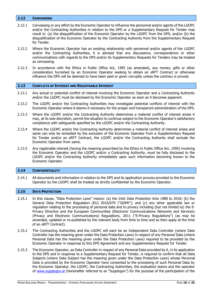# <span id="page-9-0"></span>**2.12 CANVASSING**

- 2.12.1 Canvassing or any effort by the Economic Operator to influence the personnel and/or agents of the LGOPC and/or the Contracting Authorities in relation to the DPS or a Supplementary Request for Tender may result in: (a) the disqualification of the Economic Operator by the LGOPC from the DPS; and/or (b) the disqualification of the Economic Operator by the Contracting Authority from the Supplementary Request for Tender.
- 2.12.2 Where the Economic Operator has an existing relationship with personnel and/or agents of the LGOPC and/or the Contracting Authorities, it is advised that any discussions, correspondence or other communications with regards to the DPS and/or its Supplementary Requests for Tenders may be treated as canvassing.
- 2.12.3 In accordance with the Ethics in Public Office Act, 1995 (as amended), any money, gifts or other consideration furnished by an Economic Operator seeking to obtain an sRFT Contract or otherwise influence the DPS will be deemed to have been paid or given corruptly unless the contrary is proved.

#### <span id="page-9-1"></span>**2.13 CONFLICTS OF INTEREST AND REGISTRABLE INTEREST**

- 2.13.1 Any actual or potential conflict of interest involving the Economic Operator and a Contracting Authority and/or the LGOPC must be disclosed by the Economic Operator as soon as it becomes apparent.
- 2.13.2 The LGOPC and/or the Contracting Authorities may investigate potential conflicts of interest with the Economic Operator where it deems it necessary for the proper and transparent administration of the DPS.
- 2.13.3 Where the LGOPC and/or the Contracting Authority determines a material conflict of interest arises it may, at its sole discretion, permit the situation to continue subject to the Economic Operator's satisfactory compliance with safeguards specified by the LGOPC and/or the Contracting Authority.
- 2.13.4 Where the LGOPC and/or the Contracting Authority determines a material conflict of interest arises and same can only be remedied by the exclusion of the Economic Operator from a Supplementary Request for Tender and/or an sRFT Contract, the LGOPC and/or the Contracting Authority shall exclude the Economic Operator from same.
- 2.13.5 Any registrable interest (having the meaning prescribed by the Ethics in Public Office Act, 1995) involving the Economic Operator and the LGOPC and/or a Contracting Authority, must be fully disclosed to the LGOPC and/or the Contracting Authority immediately upon such information becoming known to the Economic Operator.

#### <span id="page-9-2"></span>**2.14 CONFIDENTIALITY**

2.14.1 All documents and information in relation to the DPS and its application process provided to the Economic Operator by the LGOPC shall be treated as strictly confidential by the Economic Operator.

# <span id="page-9-3"></span>**2.15 DATA PROTECTION**

- 2.15.1 In this clause, "Data Protection Laws" means: (a) the Irish Data Protection Acts 1988 to 2018; (b) the General Data Protection Regulation (EU) 2016/679 ("GDPR"); and (c) any other applicable law or regulation relating to the processing of personal data and to privacy including (but not limited to) the E-Privacy Directive and the European Communities (Electronic Communications Networks and Services) (Privacy and Electronic Communications) Regulations, 2011 ("E-Privacy Regulations") (as may be amended, updated or re-published by the relevant body from time to time and as then apply at the time of an sRFT Contract).
- 2.15.2 The Contracting Authorities and the LGOPC will each be an Independent Data Controller (where Data Controller has the meaning given under the Data Protection Laws) in respect of any Personal Data (where Personal Data has the meaning given under the Data Protection Laws) required to be provided by the Economic Operator in response to this DPS Agreement and any Supplementary Request for Tender.
- 2.15.3 The Economic Operator, as Data Controller in respect of any Personal Data provided by it, in its application to the DPS and in response to a Supplementary Request for Tender, is required to confirm that all Data Subjects (where Data Subject has the meaning given under the Data Protection Laws) whose Personal Data is provided by the Economic Operator have consented to the processing of such Personal Data by the Economic Operator, the LGOPC, the Contracting Authorities, the evaluation teams and the operator of [www.supplygov.ie](http://www.supplygov.ie/) (hereinafter referred to as "Supplygov") for the purpose of the participation of the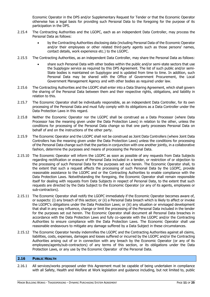Economic Operator in the DPS and/or Supplementary Request for Tender or that the Economic Operator otherwise has a legal basis for providing such Personal Data to the foregoing for the purpose of its participation in the DPS.

- 2.15.4 The Contracting Authorities and the LGOPC, each as an independent Data Controller, may process the Personal Data as follows:
	- by the Contracting Authorities disclosing data (including Personal Data of the Economic Operator and/or their employees or other related third-party agents such as those persons' names, contact details, work experience etc.) to the LGOPC.
- 2.15.5 The Contracting Authorities, as an independent Data Controller, may share the Personal Data as follows:
	- share such Personal Data with other bodies within the public and/or semi-state sectors that use the Supplygov service as required by this DPS Agreement. The list of such public and/or semi-State bodies is maintained on Supplygov and is updated from time to time. In addition, such Personal Data may be shared with the Office of Government Procurement, the Local Government Management Agency and with other bodies as required under law.
- 2.15.6 The Contracting Authorities and the LGOPC shall enter into a Data Sharing Agreement, which shall govern the sharing of the Personal Data between them and their respective rights, obligations, and liability in relation to this.
- 2.15.7 The Economic Operator shall be individually responsible, as an independent Data Controller, for its own processing of the Personal Data and must fully comply with its obligations as a Data Controller under the Data Protection Laws in this regard.
- 2.15.8 Neither the Economic Operator nor the LGOPC shall be construed as a Data Processor (where Data Processor has the meaning given under the Data Protection Laws) in relation to the other, unless the conditions for processing of the Personal Data change so that one party processes Personal Data on behalf of and on the instructions of the other party.
- 2.15.9 The Economic Operator and the LGOPC shall not be construed as Joint Data Controllers (where Joint Data Controllers has the meaning given under the Data Protection Laws) unless the conditions for processing of the Personal Data change such that the parties in conjunction with one another jointly, in a collaborative fashion, determine the purposes and means of processing the Personal Data.
- 2.15.10 The Economic Operator will inform the LGOPC as soon as possible of any requests from Data Subjects regarding rectification or erasure of Personal Data included in a tender, or restriction of or objection to the processing of such Personal Data for the purposes set out herein. The Economic Operator shall, to the extent that such a request affects the processing of such Personal Data by the LGOPC, provide reasonable assistance to the LGOPC and or the Contracting Authorities to enable compliance with the Data Protection Laws. Notwithstanding the foregoing, the Economic Operator shall remain responsible itself for dealing with requests from Data Subjects in respect of Personal Data, to the extent that such requests are directed by the Data Subject to the Economic Operator (or any of its agents, employees or sub-contractors).
- 2.15.11 The Economic Operator shall notify the LGOPC immediately if the Economic Operator becomes aware of, or suspects: (i) any breach of this section; or (ii) a Personal Data breach which is likely to affect or invoke the LGOPC's obligations under the Data Protection Laws; or (iii) any situation or envisaged development that shall in any way influence, change or limit the processing of the Personal Data included in the tender for the purposes set out herein. The Economic Operator shall document all Personal Data breaches in accordance with the Data Protection Laws and fully co-operate with the LGOPC and/or the Contracting Authorities to ensure compliance with the Data Protection Laws. The Economic Operator shall use reasonable endeavours to mitigate any damage suffered by a Data Subject in these circumstances.
- 2.15.12 The Economic Operator hereby indemnifies the LGOPC and the Contracting Authorities against all claims, liabilities, costs, expenses, damages and losses suffered or incurred by the LGOPC and/or the Contracting Authorities arising out of or in connection with any breach by the Economic Operator (or any of its employees/agents/sub-contractors) of any terms of this section, or its obligations under the Data Protection Laws, or any use by the Economic Operator of the Personal Data.

#### <span id="page-10-0"></span>**2.16 PUBLIC HEALTH**

2.16.1 All services/works proposed under this Agreement must be capable of being undertaken in compliance with all Safety, Health and Welfare at Work legislation and guidance including, but not limited to, public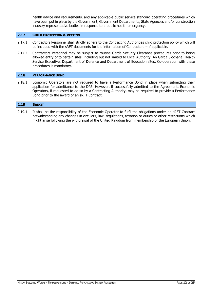health advice and requirements, and any applicable public service standard operating procedures which have been put in place by the Government, Government Departments, State Agencies and/or construction industry representative bodies in response to a public health emergency.

#### <span id="page-11-0"></span>**2.17 CHILD PROTECTION & VETTING**

- 2.17.1 Contractors Personnel shall strictly adhere to the Contracting Authorities child protection policy which will be included with the sRFT documents for the information of Contractors – if applicable.
- 2.17.2 Contractors Personnel may be subject to routine Garda Security Clearance procedures prior to being allowed entry onto certain sites, including but not limited to Local Authority, An Garda Síochána, Health Service Executive, Department of Defence and Department of Education sites. Co-operation with these procedures is mandatory.

#### <span id="page-11-1"></span>**2.18 PERFORMANCE BOND**

2.18.1 Economic Operators are not required to have a Performance Bond in place when submitting their application for admittance to the DPS. However, if successfully admitted to the Agreement, Economic Operators, if requested to do so by a Contracting Authority, may be required to provide a Performance Bond prior to the award of an sRFT Contract.

# <span id="page-11-2"></span>**2.19 BREXIT**

2.19.1 It shall be the responsibility of the Economic Operator to fulfil the obligations under an sRFT Contract notwithstanding any changes in circulars, law, regulations, taxation or duties or other restrictions which might arise following the withdrawal of the United Kingdom from membership of the European Union.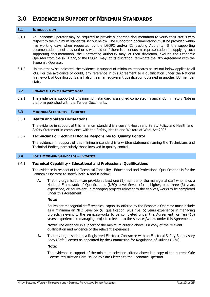# <span id="page-12-0"></span>**3.0 EVIDENCE IN SUPPORT OF MINIMUM STANDARDS**

#### <span id="page-12-1"></span>**3.1 INTRODUCTION**

- 3.1.1 An Economic Operator may be required to provide supporting documentation to verify their status with respect to the minimum standards set out below. The supporting documentation must be provided within five working days when requested by the LGOPC and/or Contracting Authority. If the supporting documentation is not provided or is withheld or if there is a serious misrepresentation in supplying such supporting documentation, the Contracting Authority may, at their discretion, exclude the Economic Operator from the sRFT and/or the LGOPC may, at its discretion, terminate the DPS Agreement with the Economic Operator.
- 3.1.2 Unless otherwise indicated, the evidence in support of minimum standards as set out below applies to all lots. For the avoidance of doubt, any reference in this Agreement to a qualification under the National Framework of Qualifications shall also mean an equivalent qualification obtained in another EU member state.

#### <span id="page-12-2"></span>**3.2 FINANCIAL CONFIRMATORY NOTE**

3.2.1 The evidence in support of this minimum standard is a signed completed Financial Confirmatory Note in the form published with the Tender Documents.

#### <span id="page-12-3"></span>**3.3 MINIMUM STANDARDS – EVIDENCE**

#### 3.3.1 **Health and Safety Declarations**

The evidence in support of this minimum standard is a current Health and Safety Policy and Health and Safety Statement in compliance with the Safety, Health and Welfare at Work Act 2005.

#### 3.3.2 **Technicians or Technical Bodies Responsible for Quality Control**

The evidence in support of this minimum standard is a written statement naming the Technicians and Technical Bodies, particularly those involved in quality control.

#### <span id="page-12-4"></span>**3.4 LOT 1 MINIMUM STANDARDS – EVIDENCE**

# 3.4.1 **Technical Capability - Educational and Professional Qualifications**

The evidence in respect of the Technical Capability - Educational and Professional Qualifications is for the Economic Operator to satisfy both **A** and **B** below:

**A.** That my organisation can provide at least one (1) member of the managerial staff who holds a National Framework of Qualifications (NFQ) Level Seven (7) or higher, plus three (3) years experience, or equivalent, in managing projects relevant to the services/works to be completed under this Agreement:

#### **Note:**

Equivalent managerial staff technical capability offered by the Economic Operator must include as a minimum an NFQ Level Six (6) qualification, plus five (5) years experience in managing projects relevant to the services/works to be completed under this Agreement; or Ten (10) years' experience in managing projects relevant to the services/works under this Agreement.

**Note:** The evidence in support of the minimum criteria above is a copy of the relevant qualification and evidence of the relevant experience.

**B.** That my organisation is a Registered Electrical Contractor with an Electrical Safety Supervisory Body (Safe Electric) as appointed by the Commission for Regulation of Utilities (CRU).

#### **Note:**

The evidence in support of the minimum selection criteria above is a copy of the current Safe Electric Registration Card issued by Safe Electric to the Economic Operator.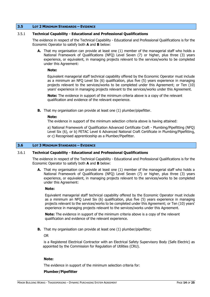#### <span id="page-13-0"></span>**3.5 LOT 2 MINIMUM STANDARDS – EVIDENCE**

# 3.5.1 **Technical Capability - Educational and Professional Qualifications**

The evidence in respect of the Technical Capability - Educational and Professional Qualifications is for the Economic Operator to satisfy both **A** and **B** below:

**A.** That my organisation can provide at least one (1) member of the managerial staff who holds a National Framework of Qualifications (NFQ) Level Seven (7) or higher, plus three (3) years experience, or equivalent, in managing projects relevant to the services/works to be completed under this Agreement:

#### **Note:**

Equivalent managerial staff technical capability offered by the Economic Operator must include as a minimum an NFQ Level Six (6) qualification, plus five (5) years experience in managing projects relevant to the services/works to be completed under this Agreement; or Ten (10) years' experience in managing projects relevant to the services/works under this Agreement.

**Note:** The evidence in support of the minimum criteria above is a copy of the relevant qualification and evidence of the relevant experience.

**B.** That my organisation can provide at least one (1) plumber/pipefitter.

#### **Note:**

The evidence in support of the minimum selection criteria above is having attained:

a) National Framework of Qualification Advanced Certificate Craft - Plumbing/Pipefitting (NFQ) Level Six (6), or b) FETAC Level 6 Advanced National Craft Certificate in Plumbing/Pipefitting, or c) Recognised apprenticeship as a Plumber/Pipefitter.

# <span id="page-13-1"></span>**3.6 LOT 3 MINIMUM STANDARDS – EVIDENCE**

# 3.6.1 **Technical Capability - Educational and Professional Qualifications**

The evidence in respect of the Technical Capability - Educational and Professional Qualifications is for the Economic Operator to satisfy both **A** and **B** below:

**A.** That my organisation can provide at least one (1) member of the managerial staff who holds a National Framework of Qualifications (NFQ) Level Seven (7) or higher, plus three (3) years experience, or equivalent, in managing projects relevant to the services/works to be completed under this Agreement:

# **Note:**

Equivalent managerial staff technical capability offered by the Economic Operator must include as a minimum an NFQ Level Six (6) qualification, plus five (5) years experience in managing projects relevant to the services/works to be completed under this Agreement; or Ten (10) years' experience in managing projects relevant to the services/works under this Agreement.

**Note:** The evidence in support of the minimum criteria above is a copy of the relevant qualification and evidence of the relevant experience.

**B.** That my organisation can provide at least one (1) plumber/pipefitter;

OR

is a Registered Electrical Contractor with an Electrical Safety Supervisory Body (Safe Electric) as appointed by the Commission for Regulation of Utilities (CRU).

# **Note:**

The evidence in support of the minimum selection criteria for:

#### **Plumber/Pipefitter**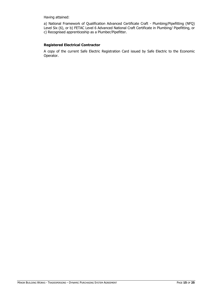Having attained:

a) National Framework of Qualification Advanced Certificate Craft - Plumbing/Pipefitting (NFQ) Level Six (6), or b) FETAC Level 6 Advanced National Craft Certificate in Plumbing/ Pipefitting, or c) Recognised apprenticeship as a Plumber/Pipefitter.

# **Registered Electrical Contractor**

A copy of the current Safe Electric Registration Card issued by Safe Electric to the Economic Operator.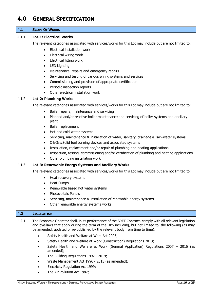# <span id="page-15-0"></span>**4.0 GENERAL SPECIFICATION**

#### <span id="page-15-1"></span>**4.1 SCOPE OF WORKS**

# 4.1.1 **Lot-1: Electrical Works**

The relevant categories associated with services/works for this Lot may include but are not limited to:

- Electrical installation work
- Electrical wiring work
- Electrical fitting work
- LED Lighting
- Maintenance, repairs and emergency repairs
- Servicing and testing of various wiring systems and services
- Commissioning and provision of appropriate certification
- Periodic inspection reports
- Other electrical installation work

# 4.1.2 **Lot-2: Plumbing Works**

The relevant categories associated with services/works for this Lot may include but are not limited to:

- Boiler repairs, maintenance and servicing
- Planned and/or reactive boiler maintenance and servicing of boiler systems and ancillary plant
- Boiler replacement
- Hot and cold-water systems
- Servicing, maintenance & installation of water, sanitary, drainage & rain-water systems
- Oil/Gas/Solid fuel burning devices and associated systems
- Installation, replacement and/or repair of plumbing and heating applications
- Inspection, testing, commissioning and/or certification of plumbing and heating applications
- Other plumbing installation work

# 4.1.3 **Lot-3: Renewable Energy Systems and Ancillary Works**

The relevant categories associated with services/works for this Lot may include but are not limited to:

- Heat recovery systems
- Heat Pumps
- Renewable based hot water systems
- Photovoltaic Panels
- Servicing, maintenance & installation of renewable energy systems
- Other renewable energy systems works

# <span id="page-15-2"></span>**4.2 LEGISLATION**

4.2.1 The Economic Operator shall, in its performance of the SRFT Contract, comply with all relevant legislation and bye-laws that apply during the term of the DPS including, but not limited to, the following (as may be amended, updated or re-published by the relevant body from time to time):

- Safety Health and Welfare at Work Act 2005;
- Safety Health and Welfare at Work (Construction) Regulations 2013;
- Safety Health and Welfare at Work (General Application) Regulations 2007 2016 (as amended);
- The Building Regulations 1997 2019;
- Waste Management Act 1996 2013 (as amended);
- Electricity Regulation Act 1999;
- The Air Pollution Act 1987;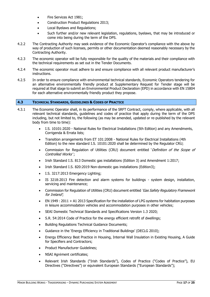- Fire Services Act 1981;
- Construction Product Regulations 2013;
- Local Byelaws and Regulations;
- Such further and/or new relevant legislation, regulations, byelaws, that may be introduced or come into being during the term of the DPS.
- 4.2.2 The Contracting Authority may seek evidence of the Economic Operator's compliance with the above by way of production of such licenses, permits or other documentation deemed reasonably necessary by the Contracting Authority.
- 4.2.3 The economic operator will be fully responsible for the quality of the materials and their compliance with the technical requirements as set out in the Tender Documents.
- 4.2.4 The economic operator must adhere to and ensure compliance with all relevant product manufacturer's instructions.
- 4.2.5 In order to ensure compliance with environmental technical standards, Economic Operators tendering for an alternative environmentally friendly product at Supplementary Request for Tender stage will be required at that stage to submit an Environmental Product Declaration (EPD) in accordance with EN 15804 for each alternative environmentally friendly product they propose.

#### <span id="page-16-0"></span>**4.3 TECHNICAL STANDARDS, GUIDELINES & CODES OF PRACTICE**

- 4.3.1 The Economic Operator shall, in its performance of the SRFT Contract, comply, where applicable, with all relevant technical standards, guidelines and codes of practice that apply during the term of the DPS including, but not limited to, the following (as may be amended, updated or re-published by the relevant body from time to time):
	- I.S. 10101:2020 National Rules for Electrical Installations (5th Edition) and any Amendments, Corrigenda & Errata lists;
	- Transition arrangements from ET 101:2008 National Rules for Electrical Installations (4th Edition) to the new standard I.S. 10101:2020 shall be determined by the Regulator CRU;
	- Commission for Regulation of Utilities (CRU) document entitled 'Definition of the Scope of Controlled Works':
	- Irish Standard I.S. 813 Domestic gas installations (Edition 3) and Amendment 1:2017;
	- Irish Standard I.S. 820:2019 Non-domestic gas installations (Edition3);
	- I.S. 3217:2013 Emergency Lighting;
	- IS 3218:2013 Fire detection and alarm systems for buildings system design, installation, servicing and maintenance;
	- Commission for Regulation of Utilities (CRU) document entitled 'Gas Safety Regulatory Framework for Ireland';
	- EN 1949 : 2011 + A1 2013 Specification for the installation of LPG systems for habitation purposes in leisure accommodation vehicles and accommodation purposes in other vehicles;
	- SEAI Domestic Technical Standards and Specifications Version 1.3 2020;
	- S.R. 54:2014 Code of Practice for the energy efficient retrofit of dwellings;
	- Building Regulations Technical Guidance Documents;
	- Guidance in the 'Energy Efficiency in Traditional Buildings' (DECLG 2010);
	- Energy Efficiency Best Practice in Housing, Internal Wall Insulation in Existing Housing, A Guide for Specifiers and Contractors;
	- Product Manufacturer Guidelines;
	- NSAI Agrément certificates;
	- Relevant Irish Standards ("Irish Standards"), Codes of Practice ("Codes of Practice"), EU Directives ("Directives") or equivalent European Standards ("European Standards");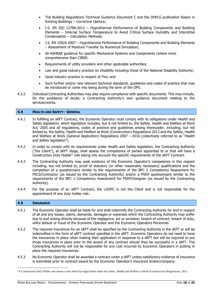- The Building Regulations Technical Guidance Document C and the DHPLG publication Radon in Existing Buildings – Corrective Options;
- I.S. EN ISO 13788:2012 Hygrothermal Performance of Building Components and Building Elements – Internal Surface Temperature to Avoid Critical Surface Humidity and Interstitial Condensation – Calculation Methods;
- I.S. EN 15026:2007 Hygrothermal Performance of Building Components and Building Elements – Assessment of Moisture Transfer by Numerical Simulation;
- All ASHRAE guidance for specific Mechanical Systems and Components (where more comprehensive than CIBSE;
- Requirements of utility providers and other applicable authorities;
- Law and good industry practice on Disability including those of the National Disability Authority;
- Good industry practice in respect of Fire; and
- Such further and/or new relevant technical standards, guidelines and codes of practice that may be introduced or come into being during the term of the DPS.
- 4.3.2 Individual Contracting Authorities may also require compliance with specific documents. This may include, for the avoidance of doubt, a Contracting Authority's own guidance document relating to the services/works.

# <span id="page-17-0"></span>**4.4 HEALTH AND SAFETY - GENERAL**

- 4.4.1 In fulfilling an sRFT Contract, the Economic Operator must comply with its obligations under Health and Safety legislation, which legislation includes, but is not limited to, the Safety, Health and Welfare at Work Act, 2005 and all regulations, codes of practice and guidelines arising thereunder, including, but not limited to, the Safety, Health and Welfare at Work (Construction) Regulations 2013 and the Safety, Health and Welfare at Work (General Application) Regulations 2007 – 2016 (collectively referred to as "Health and Safety legislation").
- 4.4.2 In order to comply with its requirements under Health and Safety legislation, the Contracting Authority ("the Client"), at sRFT stage, shall assess the competence of parties appointed to or that will have a Construction Duty Holder<sup>5</sup> role taking into account the specific requirements of the sRFT Contract.
- 4.4.3 The Contracting Authority may seek evidence of the Economic Operator's competence in this respect including, but not limited to, proof of statutory (or other reasonably necessary) qualifications and the completion of a questionnaire similar to the requirements of the BPC 2 Competency Assessment for PSCS/Contractor (as issued by the Contracting Authority) and/or a PSDP questionnaire similar to the requirements of the BPC 1 Competency Assessment for PSDP/Designer (as issued by the Contracting Authority).
- 4.4.4 For the purpose of an sRFT Contract, the LGOPC is not the Client and is not responsible for the appointment of any duty holder role.

#### <span id="page-17-1"></span>**4.5 INSURANCE**

- 4.5.1 The Economic Operator shall be liable for and shall indemnify the Contracting Authority for and in respect of all and any losses, claims, demands, damages or expenses which the Contracting Authority may suffer due to and arising directly because of the negligence, act or omission, breach of contract, breach of duty, wilful default or fraud of the Economic Operator and the Economic Operators Personnel.
- 4.5.2 The required insurances for an sRFT shall be specified by the Contracting Authority in the sRFT or will be indemnified in the form of sRFT contract specified in the sRFT. Economic Operators do not need to have the insurances in place when making their application in response to a sRFT but will be required to put those insurances in place prior to the award of any contract should they be successful in a sRFT. The Contracting Authority will not be responsible for any cost incurred by Economic Operators in putting in place the required insurances.
- 4.5.3 No Economic Operator shall be awarded a contract under a sRFT unless satisfactory evidence of insurance is submitted prior to contract award by the Economic Operator's insurance broker/company.

<sup>5</sup>A Construction Duty Holder role means a role which has legal duties under the Safety, Health and Welfare at Work (Construction) Regulations, 2013.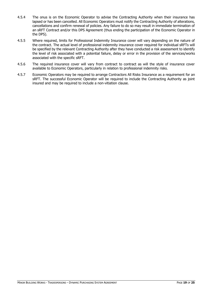- 4.5.4 The onus is on the Economic Operator to advise the Contracting Authority when their insurance has lapsed or has been cancelled. All Economic Operators must notify the Contracting Authority of alterations, cancellations and confirm renewal of policies. Any failure to do so may result in immediate termination of an sRFT Contract and/or this DPS Agreement (thus ending the participation of the Economic Operator in the DPS).
- 4.5.5 Where required, limits for Professional Indemnity Insurance cover will vary depending on the nature of the contract. The actual level of professional indemnity insurance cover required for individual sRFTs will be specified by the relevant Contracting Authority after they have conducted a risk assessment to identify the level of risk associated with a potential failure, delay or error in the provision of the services/works associated with the specific sRFT.
- 4.5.6 The required insurance cover will vary from contract to contract as will the style of insurance cover available to Economic Operators, particularly in relation to professional indemnity risks.
- 4.5.7 Economic Operators may be required to arrange Contractors All Risks Insurance as a requirement for an sRFT. The successful Economic Operator will be required to include the Contracting Authority as joint insured and may be required to include a non-vitiation clause.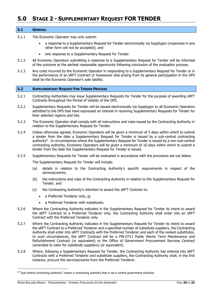# <span id="page-19-0"></span>**5.0 STAGE 2 - SUPPLEMENTARY REQUEST FOR TENDER**

#### <span id="page-19-1"></span>**5.1 GENERAL**

- 5.1.1 The Economic Operator may only submit:
	- a response to a Supplementary Request for Tender electronically via Supplygov (responses in any other form will not be accepted); and
	- one response to a Supplementary Request for Tender.
- 5.1.2 All Economic Operators submitting a response to a Supplementary Request for Tender will be informed of the outcome at the earliest reasonable opportunity following conclusion of the evaluation process.
- 5.1.3 Any costs incurred by the Economic Operator in responding to a Supplementary Request for Tender or in the performance of an sRFT Contract or howsoever else arising from its general participation in the DPS shall be the Economic Operator's sole liability.

#### <span id="page-19-2"></span>**5.2 SUPPLEMENTARY REQUEST FOR TENDER PROCESS**

- 5.2.1 Contracting Authorities may issue Supplementary Requests for Tender for the purpose of awarding sRFT Contracts throughout the Period of Validity of the DPS.
- 5.2.2 Supplementary Requests for Tender will be issued electronically via Supplygov to all Economic Operators admitted to the DPS that have expressed an interest in receiving Supplementary Requests for Tender for their selected regions and lots.
- 5.2.3 The Economic Operator shall comply with all instructions and rules issued by the Contracting Authority in relation to the Supplementary Request for Tender.
- 5.2.4 Unless otherwise agreed, Economic Operators will be given a minimum of 5 days within which to submit a tender from the date a Supplementary Request for Tender is issued by a sub-central contracting authority<sup>6</sup>. In circumstances where the Supplementary Request for Tender is issued by a non-sub-central contracting authority, Economic Operators will be given a minimum of 10 days within which to submit a tender from the date the Supplementary Request for Tender is issued.
- 5.2.5 Supplementary Requests for Tender will be evaluated in accordance with the provisions set out below.

The Supplementary Request for Tender will include:

- (a) details in relation to the Contracting Authority's specific requirements in respect of the services/works;
- (b) the instructions and rules of the Contracting Authority in relation to the Supplementary Request for Tender; and
- (c) the Contracting Authority's intention to award the sRFT Contract to:
	- a Preferred Tenderer only, or
	- a Preferred Tenderer with substitutes.
- 5.2.6 Where the Contracting Authority indicates in the Supplementary Request for Tender its intent to award the sRFT Contract to a Preferred Tenderer only, the Contracting Authority shall enter into an sRFT Contract with the Preferred Tenderer only.
- 5.2.7 Where the Contracting Authority indicates in the Supplementary Request for Tender its intent to award the sRFT Contract to a Preferred Tenderer and a specified number of substitute suppliers, the Contracting Authority shall enter into sRFT Contracts with the Preferred Tenderer and each of the ranked substitutes. In such circumstances, the sRFT Contract will be a PW-CF11 Public Works Term Maintenance and Refurbishment Contract (or equivalent) or the Office of Government Procurement Services Contract (amended to cater for substitute suppliers) (or equivalent).
- 5.2.8 Where, following a Supplementary Request for Tender, the Contracting Authority has entered into sRFT Contracts with a Preferred Tenderer and substitute suppliers, the Contracting Authority shall, in the first instance, procure the services/works from the Preferred Tenderer.

<sup>6</sup> "Sub-central contracting authority" means a contracting authority that is not a central government authority.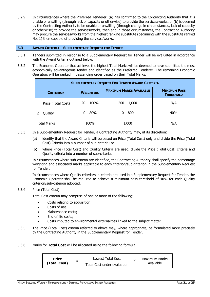5.2.9 In circumstances where the Preferred Tenderer: (a) has confirmed to the Contracting Authority that it is unable or unwilling (through lack of capacity or otherwise) to provide the services/works; or (b) is deemed by the Contracting Authority to be unable or unwilling (through change in circumstances, lack of capacity or otherwise) to provide the services/works, then and in those circumstances, the Contracting Authority may procure the services/works from the highest ranking substitute (beginning with the substitute ranked No. 1) then capable of providing the services/works.

#### <span id="page-20-0"></span>**5.3 AWARD CRITERIA – SUPPLEMENTARY REQUEST FOR TENDER**

- 5.3.1 Tenders submitted in response to a Supplementary Request for Tender will be evaluated in accordance with the Award Criteria outlined below.
- 5.3.2 The Economic Operator that achieves the highest Total Marks will be deemed to have submitted the most economically advantageous tender and identified as the Preferred Tenderer. The remaining Economic Operators will be ranked in descending order based on their Total Marks.

| <b>SUPPLEMENTARY REQUEST FOR TENDER AWARD CRITERIA</b> |                    |                                                    |               |                                         |  |
|--------------------------------------------------------|--------------------|----------------------------------------------------|---------------|-----------------------------------------|--|
|                                                        | <b>CRITERION</b>   | <b>MAXIMUM MARKS AVAILABLE</b><br><b>WEIGHTING</b> |               | <b>MINIMUM PASS</b><br><b>THRESHOLD</b> |  |
|                                                        | Price (Total Cost) | $20 - 100\%$                                       | $200 - 1,000$ | N/A                                     |  |
|                                                        | Quality            | $0 - 80\%$                                         | $0 - 800$     | 40%                                     |  |
| <b>Total Marks</b>                                     |                    | 100%                                               | 1,000         | N/A                                     |  |

- 5.3.3 In a Supplementary Request for Tender, a Contracting Authority may, at its discretion:
	- (a) identify that the Award Criteria will be based on Price (Total Cost) only and divide the Price (Total Cost) Criteria into a number of sub-criteria; or
	- (b) where Price (Total Cost) and Quality Criteria are used, divide the Price (Total Cost) criteria and Quality criteria into a number of sub-criteria.

In circumstances where sub-criteria are identified, the Contracting Authority shall specify the percentage weighting and associated marks applicable to each criterion/sub-criterion in the Supplementary Request for Tender.

In circumstances where Quality criteria/sub-criteria are used in a Supplementary Request for Tender, the Economic Operator shall be required to achieve a minimum pass threshold of 40% for each Quality criterion/sub-criterion adopted.

# 5.3.4 Price (Total Cost)

Total Cost criteria may comprise of one or more of the following:

- Costs relating to acquisition;
- Costs of use;
- Maintenance costs;
- End of life costs;
- Costs imputed to environmental externalities linked to the subject matter.
- 5.3.5 The Price (Total Cost) criteria referred to above may, where appropriate, be formulated more precisely by the Contracting Authority in the Supplementary Request for Tender.
- 5.3.6 Marks for **Total Cost** will be allocated using the following formula:

| <b>Price</b> | - | Lowest Total Cost           |  | <b>Maximum Marks</b><br>Available |
|--------------|---|-----------------------------|--|-----------------------------------|
| (Total Cost) |   | Total Cost under evaluation |  |                                   |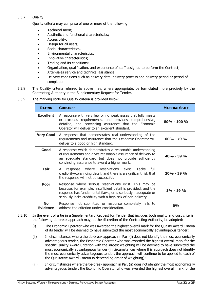# 5.3.7 Quality

Quality criteria may comprise of one or more of the following:

- Technical merit:
- Aesthetic and functional characteristics;
- Accessibility;
- Design for all users;
- Social characteristics;
- Environmental characteristics;
- Innovative characteristics;
- Trading and its conditions;
- Organisation, qualification, and experience of staff assigned to perform the Contract;
- After-sales service and technical assistance:
- Delivery conditions such as delivery date, delivery process and delivery period or period of completion.
- 5.3.8 The Quality criteria referred to above may, where appropriate, be formulated more precisely by the Contracting Authority in the Supplementary Request for Tender.
- 5.3.9 The marking scale for Quality criteria is provided below:

| <b>RATING</b>                | <b>GUIDANCE</b>                                                                                                                                                                                                                                            | <b>MARKING SCALE</b> |
|------------------------------|------------------------------------------------------------------------------------------------------------------------------------------------------------------------------------------------------------------------------------------------------------|----------------------|
| <b>Excellent</b>             | A response with very few or no weaknesses that fully meets<br>or exceeds requirements, and provides comprehensive,<br>detailed, and convincing assurance that the Economic<br>Operator will deliver to an excellent standard.                              | $80\% - 100\%$       |
| <b>Very Good</b>             | A response that demonstrates real understanding of the<br>requirements and assurance that the Economic Operator will<br>deliver to a good or high standard.                                                                                                | $60\% - 79\%$        |
| Good                         | A response which demonstrates a reasonable understanding<br>of requirements and gives reasonable assurance of delivery to<br>an adequate standard but does not provide sufficiently<br>convincing assurance to award a higher mark.                        | $40% - 59%$          |
| Fair                         | where reservations exist. Lacks<br>full<br>response<br>A<br>credibility/convincing detail, and there is a significant risk that<br>the response will not be successful.                                                                                    | $20% - 39%$          |
| Poor                         | Response where serious reservations exist. This may be<br>because, for example, insufficient detail is provided, and the<br>response has fundamental flaws, or is seriously inadequate or<br>seriously lacks credibility with a high risk of non-delivery. | $1\% - 19\%$         |
| <b>No</b><br><b>Evidence</b> | Response not submitted or response completely fails to<br>address the criterion under consideration.                                                                                                                                                       | 0%                   |

- 5.3.10 In the event of a tie in a Supplementary Request for Tender that includes both quality and cost criteria, the following tie-break approach may, at the discretion of the Contracting Authority, be adopted:
	- (i) The Economic Operator who was awarded the highest overall mark for the Quality Award Criteria of its tender will be deemed to have submitted the most economically advantageous tender;
	- (ii) In circumstances where the tie-break approach in Par. (i) does not identify the most economically advantageous tender, the Economic Operator who was awarded the highest overall mark for the specific Quality Award Criterion with the largest weighting will be deemed to have submitted the most economically advantageous tender (in circumstances where this approach does not identify the most economically advantageous tender, the approach will continue to be applied to each of the Qualitative Award Criteria in descending order of weighting);
	- (iii) In circumstances where the tie-break approach in Par. (ii) does not identify the most economically advantageous tender, the Economic Operator who was awarded the highest overall mark for the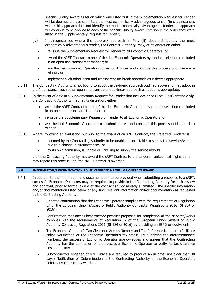specific Quality Award Criterion which was listed first in the Supplementary Request for Tender will be deemed to have submitted the most economically advantageous tender (in circumstances where this approach does not identify the most economically advantageous tender the approach will continue to be applied to each of the specific Quality Award Criterion in the order they were listed in the Supplementary Request for Tender);

- (iv) In circumstances where the tie-break approach in Par. (iii) does not identify the most economically advantageous tender, the Contract Authority, may, at its discretion either:
	- re-issue the Supplementary Request for Tender to all Economic Operators; or
	- award the sRFT Contract to one of the tied Economic Operators by random selection concluded in an open and transparent manner; or
	- ask the tied Economic Operators to resubmit prices and continue this process until there is a winner; or
	- implement such other open and transparent tie-break approach as it deems appropriate.
- 5.3.11 The Contracting Authority is not bound to adopt the tie-break approach outlined above and may adopt in the first instance such other open and transparent tie-break approach as it deems appropriate.
- 5.3.12 In the event of a tie in a Supplementary Request for Tender that includes price (Total Cost) criteria **only**, the Contracting Authority may, at its discretion, either:
	- award the sRFT Contract to one of the tied Economic Operators by random selection concluded in an open and transparent manner; or
	- re-issue the Supplementary Request for Tender to all Economic Operators; or
	- ask the tied Economic Operators to resubmit prices and continue this process until there is a winner.
- 5.3.13 Where, following an evaluation but prior to the award of an sRFT Contract, the Preferred Tenderer is:
	- deemed by the Contracting Authority to be unable or unsuitable to supply the services/works due to a change in circumstances; or
	- by its own admission, is unable or unwilling to supply the services/works,

then the Contracting Authority may award the sRFT Contract to the tenderer ranked next highest and may repeat this process until the sRFT Contract is awarded.

# <span id="page-22-0"></span>**5.4 INFORMATION/DOCUMENTATION TO BE PROVIDED PRIOR TO CONTRACT AWARD**

- 5.4.1 In addition to the information and documentation to be provided when submitting a response to a sRFT, successful Economic Operators may be required to provide to the Contracting Authority for their review and approval, prior to formal award of the contract (if not already submitted), the specific information and/or documentation listed below or any such relevant information and/or documentation as requested by the Contracting Authority:
	- Updated confirmation that the Economic Operator complies with the requirements of Regulation 57 of the European Union (Award of Public Authority Contracts) Regulations 2016 (SI 284 of 2016);
	- Confirmation that any Subcontractor/Specialist proposed for completion of the services/works complies with the requirements of Regulation 57 of the European Union (Award of Public Authority Contracts) Regulations 2016 (SI 284 of 2016) by providing an ESPD or equivalent;
	- The Economic Operator's Tax Clearance Access Number and Tax Reference Number to facilitate online verification of the Economic Operator's tax status. By supplying the aforementioned numbers, the successful Economic Operator acknowledges and agrees that the Contracting Authority has the permission of the successful Economic Operator to verify its tax clearance position online;
	- Subcontractors engaged at sRFT stage are required to produce an in-date (not older than 30 days) Notification of Determination to the Contracting Authority or the Economic Operator, before any contract is awarded;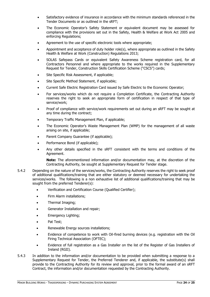- Satisfactory evidence of insurance in accordance with the minimum standards referenced in the Tender Documents or as outlined in the sRFT;
- The Economic Operator's Safety Statement or equivalent document may be assessed for compliance with the provisions set out in the Safety, Health & Welfare at Work Act 2005 and enforcing Regulations;
- Agreement to the use of specific electronic tools where appropriate;
- Appointment and acceptance of duty holder role(s), where appropriate as outlined in the Safety Health & Welfare at Work (Construction) Regulations 2013;
- SOLAS Safepass Cards or equivalent Safety Awareness Scheme registration card, for all Contractors Personnel and where appropriate to the works required in the Supplementary Request for Tender, Construction Skills Certification Scheme ("CSCS") cards;
- Site Specific Risk Assessment, if applicable;
- Site Specific Method Statement, if applicable;
- Current Safe Electric Registration Card issued by Safe Electric to the Economic Operator;
- For services/works which do not require a Completion Certificate, the Contracting Authority reserves the right to seek an appropriate form of certification in respect of that type of service/work;
- Proof of compliance with service/work requirements set out during an sRFT may be sought at any time during the contract;
- Temporary Traffic Management Plan, if applicable;
- The Economic Operator's Waste Management Plan (WMP) for the management of all waste arising on site, if applicable;
- Parent Company Guarantee (if applicable);
- Performance Bond (if applicable);
- Any other details specified in the sRFT consistent with the terms and conditions of the Agreement.

**Note:** The aforementioned information and/or documentation may, at the discretion of the Contracting Authority, be sought at Supplementary Request for Tender stage.

- 5.4.2 Depending on the nature of the services/works, the Contracting Authority reserves the right to seek proof of additional qualifications/training that are either statutory or deemed necessary for undertaking the services/works. The following is a non exhaustive list of additional qualifications/training that may be sought from the preferred Tenderer(s):
	- Verification and Certification Course (Qualified Certifier);
	- Firm Alarm installations;
	- Thermal Imaging;
	- Generator Installation and repair;
	- Emergency Lighting;
	- Pat Test;
	- Renewable Energy sources installations;
	- Evidence of competence to work with Oil-fired burning devices (e.g. registration with the Oil Firing Technical Association (OFTEC);
	- Evidence of full registration as a Gas Installer on the list of the Register of Gas Installers of Ireland (RGII).
- 5.4.3 In addition to the information and/or documentation to be provided when submitting a response to a Supplementary Request for Tender, the Preferred Tenderer and, if applicable, the substitute(s) shall provide to the Contracting Authority for its review and approval, prior to the formal award of an sRFT Contract, the information and/or documentation requested by the Contracting Authority.